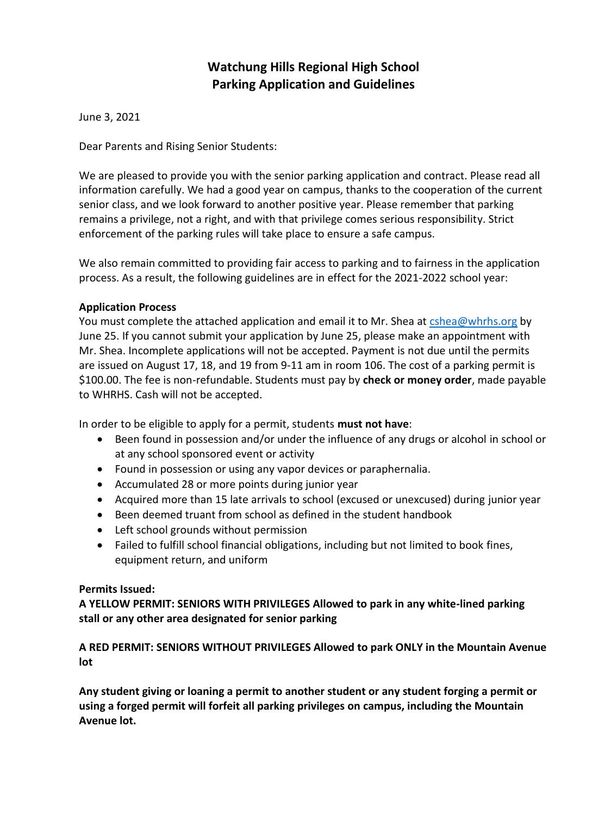## **Watchung Hills Regional High School Parking Application and Guidelines**

June 3, 2021

Dear Parents and Rising Senior Students:

We are pleased to provide you with the senior parking application and contract. Please read all information carefully. We had a good year on campus, thanks to the cooperation of the current senior class, and we look forward to another positive year. Please remember that parking remains a privilege, not a right, and with that privilege comes serious responsibility. Strict enforcement of the parking rules will take place to ensure a safe campus.

We also remain committed to providing fair access to parking and to fairness in the application process. As a result, the following guidelines are in effect for the 2021-2022 school year:

#### **Application Process**

You must complete the attached application and email it to Mr. Shea at [cshea@whrhs.org](mailto:cshea@whrhs.org) by June 25. If you cannot submit your application by June 25, please make an appointment with Mr. Shea. Incomplete applications will not be accepted. Payment is not due until the permits are issued on August 17, 18, and 19 from 9-11 am in room 106. The cost of a parking permit is \$100.00. The fee is non-refundable. Students must pay by **check or money order**, made payable to WHRHS. Cash will not be accepted.

In order to be eligible to apply for a permit, students **must not have**:

- Been found in possession and/or under the influence of any drugs or alcohol in school or at any school sponsored event or activity
- Found in possession or using any vapor devices or paraphernalia.
- Accumulated 28 or more points during junior year
- Acquired more than 15 late arrivals to school (excused or unexcused) during junior year
- Been deemed truant from school as defined in the student handbook
- Left school grounds without permission
- Failed to fulfill school financial obligations, including but not limited to book fines, equipment return, and uniform

### **Permits Issued:**

**A YELLOW PERMIT: SENIORS WITH PRIVILEGES Allowed to park in any white-lined parking stall or any other area designated for senior parking** 

**A RED PERMIT: SENIORS WITHOUT PRIVILEGES Allowed to park ONLY in the Mountain Avenue lot** 

**Any student giving or loaning a permit to another student or any student forging a permit or using a forged permit will forfeit all parking privileges on campus, including the Mountain Avenue lot.**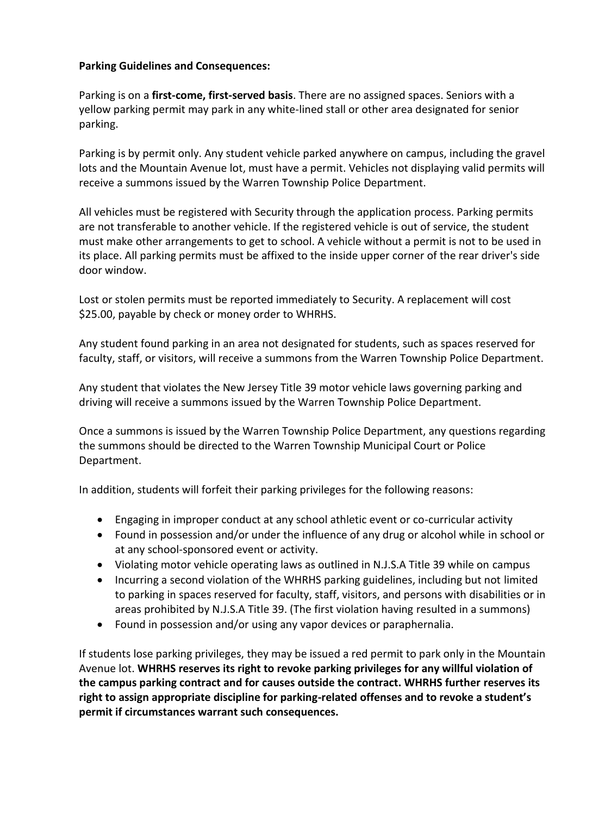### **Parking Guidelines and Consequences:**

Parking is on a **first-come, first-served basis**. There are no assigned spaces. Seniors with a yellow parking permit may park in any white-lined stall or other area designated for senior parking.

Parking is by permit only. Any student vehicle parked anywhere on campus, including the gravel lots and the Mountain Avenue lot, must have a permit. Vehicles not displaying valid permits will receive a summons issued by the Warren Township Police Department.

All vehicles must be registered with Security through the application process. Parking permits are not transferable to another vehicle. If the registered vehicle is out of service, the student must make other arrangements to get to school. A vehicle without a permit is not to be used in its place. All parking permits must be affixed to the inside upper corner of the rear driver's side door window.

Lost or stolen permits must be reported immediately to Security. A replacement will cost \$25.00, payable by check or money order to WHRHS.

Any student found parking in an area not designated for students, such as spaces reserved for faculty, staff, or visitors, will receive a summons from the Warren Township Police Department.

Any student that violates the New Jersey Title 39 motor vehicle laws governing parking and driving will receive a summons issued by the Warren Township Police Department.

Once a summons is issued by the Warren Township Police Department, any questions regarding the summons should be directed to the Warren Township Municipal Court or Police Department.

In addition, students will forfeit their parking privileges for the following reasons:

- Engaging in improper conduct at any school athletic event or co-curricular activity
- Found in possession and/or under the influence of any drug or alcohol while in school or at any school-sponsored event or activity.
- Violating motor vehicle operating laws as outlined in N.J.S.A Title 39 while on campus
- Incurring a second violation of the WHRHS parking guidelines, including but not limited to parking in spaces reserved for faculty, staff, visitors, and persons with disabilities or in areas prohibited by N.J.S.A Title 39. (The first violation having resulted in a summons)
- Found in possession and/or using any vapor devices or paraphernalia.

If students lose parking privileges, they may be issued a red permit to park only in the Mountain Avenue lot. **WHRHS reserves its right to revoke parking privileges for any willful violation of the campus parking contract and for causes outside the contract. WHRHS further reserves its right to assign appropriate discipline for parking-related offenses and to revoke a student's permit if circumstances warrant such consequences.**